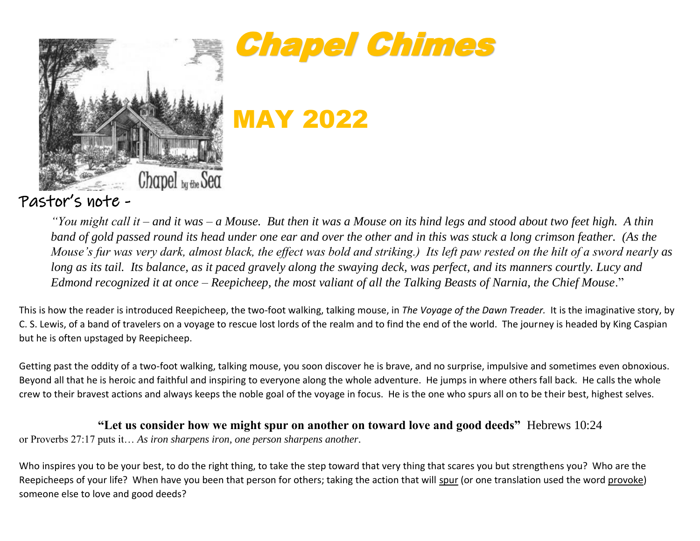



MAY 2022

Pastor's note -

*"You might call it – and it was – a Mouse. But then it was a Mouse on its hind legs and stood about two feet high. A thin band of gold passed round its head under one ear and over the other and in this was stuck a long crimson feather. (As the Mouse's fur was very dark, almost black, the effect was bold and striking.) Its left paw rested on the hilt of a sword nearly as*  long as its tail. Its balance, as it paced gravely along the swaying deck, was perfect, and its manners courtly. Lucy and *Edmond recognized it at once – Reepicheep, the most valiant of all the Talking Beasts of Narnia, the Chief Mouse*."

This is how the reader is introduced Reepicheep, the two-foot walking, talking mouse, in *The Voyage of the Dawn Treader.* It is the imaginative story, by C. S. Lewis, of a band of travelers on a voyage to rescue lost lords of the realm and to find the end of the world. The journey is headed by King Caspian but he is often upstaged by Reepicheep.

Getting past the oddity of a two-foot walking, talking mouse, you soon discover he is brave, and no surprise, impulsive and sometimes even obnoxious. Beyond all that he is heroic and faithful and inspiring to everyone along the whole adventure. He jumps in where others fall back. He calls the whole crew to their bravest actions and always keeps the noble goal of the voyage in focus. He is the one who spurs all on to be their best, highest selves.

**"Let us consider how we might spur on another on toward love and good deeds"** Hebrews 10:24

or Proverbs 27:17 puts it… *As iron sharpens iron, one person sharpens another*.

Who inspires you to be your best, to do the right thing, to take the step toward that very thing that scares you but strengthens you? Who are the Reepicheeps of your life? When have you been that person for others; taking the action that will spur (or one translation used the word provoke) someone else to love and good deeds?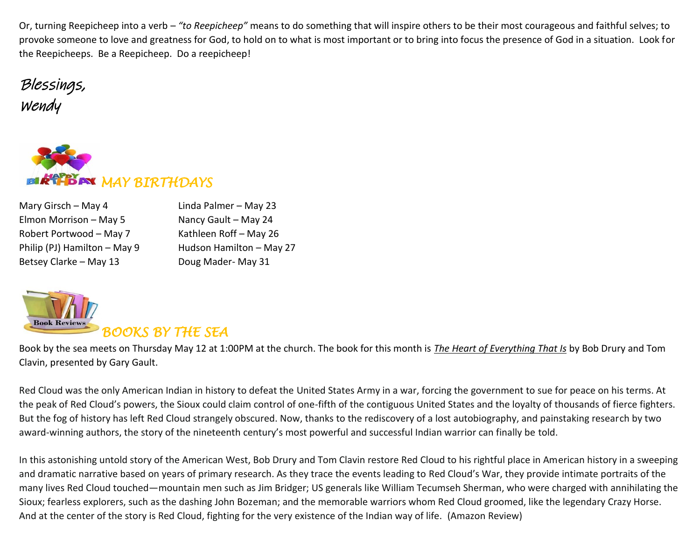Or, turning Reepicheep into a verb – *"to Reepicheep"* means to do something that will inspire others to be their most courageous and faithful selves; to provoke someone to love and greatness for God, to hold on to what is most important or to bring into focus the presence of God in a situation. Look for the Reepicheeps. Be a Reepicheep. Do a reepicheep!

Blessings, Wendy



| Mary Girsch - May 4          | Linda Palmer - May 23    |
|------------------------------|--------------------------|
| Elmon Morrison - May 5       | Nancy Gault - May 24     |
| Robert Portwood - May 7      | Kathleen Roff - May 26   |
| Philip (PJ) Hamilton - May 9 | Hudson Hamilton - May 27 |
| Betsey Clarke - May 13       | Doug Mader-May 31        |



Book by the sea meets on Thursday May 12 at 1:00PM at the church. The book for this month is *The Heart of Everything That Is* by Bob Drury and Tom Clavin, presented by Gary Gault.

Red Cloud was the only American Indian in history to defeat the United States Army in a war, forcing the government to sue for peace on his terms. At the peak of Red Cloud's powers, the Sioux could claim control of one-fifth of the contiguous United States and the loyalty of thousands of fierce fighters. But the fog of history has left Red Cloud strangely obscured. Now, thanks to the rediscovery of a lost autobiography, and painstaking research by two award-winning authors, the story of the nineteenth century's most powerful and successful Indian warrior can finally be told.

In this astonishing untold story of the American West, Bob Drury and Tom Clavin restore Red Cloud to his rightful place in American history in a sweeping and dramatic narrative based on years of primary research. As they trace the events leading to Red Cloud's War, they provide intimate portraits of the many lives Red Cloud touched—mountain men such as Jim Bridger; US generals like William Tecumseh Sherman, who were charged with annihilating the Sioux; fearless explorers, such as the dashing John Bozeman; and the memorable warriors whom Red Cloud groomed, like the legendary Crazy Horse. And at the center of the story is Red Cloud, fighting for the very existence of the Indian way of life. (Amazon Review)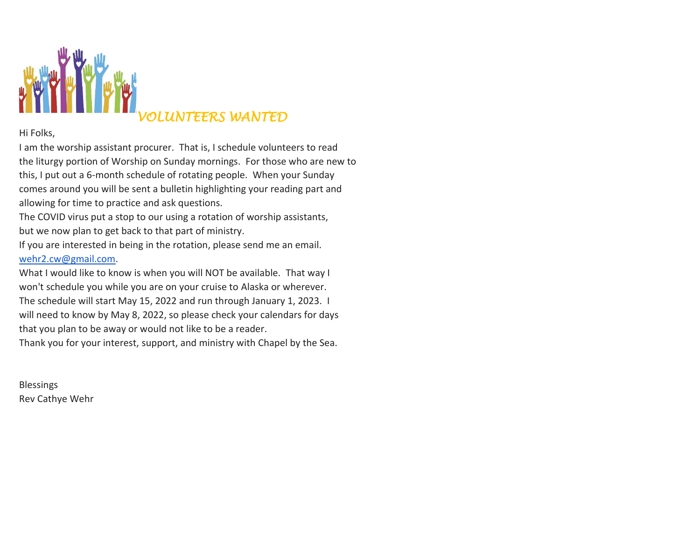

## Hi Folks,

I am the wors[hip assistan](https://creativecommons.org/licenses/by-nc-nd/3.0/)t procurer. That is, I schedule volunteers to read the liturgy portion of Worship on Sunday mornings. For those who are new to this, I put out a 6-month schedule of rotating people. When your Sunday comes around you will be sent a bulletin highlighting your reading part and allowing for time to practice and ask questions.

The COVID virus put a stop to our using a rotation of worship assistants, but we now plan to get back to that part of ministry.

If you are interested in being in the rotation, please send me an email. [wehr2.cw@gmail.com.](mailto:wehr2.cw@gmail.com)

What I would like to know is when you will NOT be available. That way I won't schedule you while you are on your cruise to Alaska or wherever. The schedule will start May 15, 2022 and run through January 1, 2023. I will need to know by May 8, 2022, so please check your calendars for days that you plan to be away or would not like to be a reader.

Thank you for your interest, support, and ministry with Chapel by the Sea.

Blessings Rev Cathye Wehr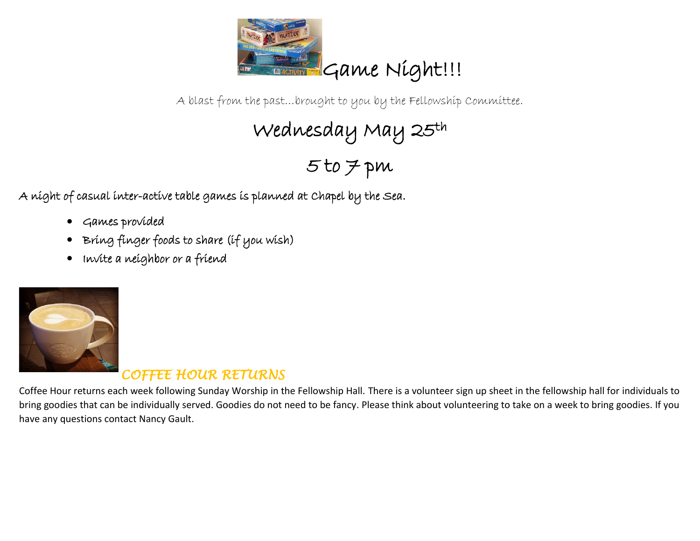

A blast from the past…brought to you by the Fellowship Committee.

Wednesday May 25th

5 to 7 pm

A night of casual inter-active table games is planned at Chapel by the Sea.

- Games provided
- Bring finger foods to share (if you wish)
- Invite a neighbor or a friend



## *COFFEE HOUR RETURNS*

Coffee Hour returns each week following Sunday Worship in the Fellowship Hall. There is a volunteer sign up sheet in the fellowship hall for individuals to [bring goo](https://creativecommons.org/licenses/by-nc/3.0/)dies that can be individually served. Goodies do not need to be fancy. Please think about volunteering to take on a week to bring goodies. If you have any questions contact Nancy Gault.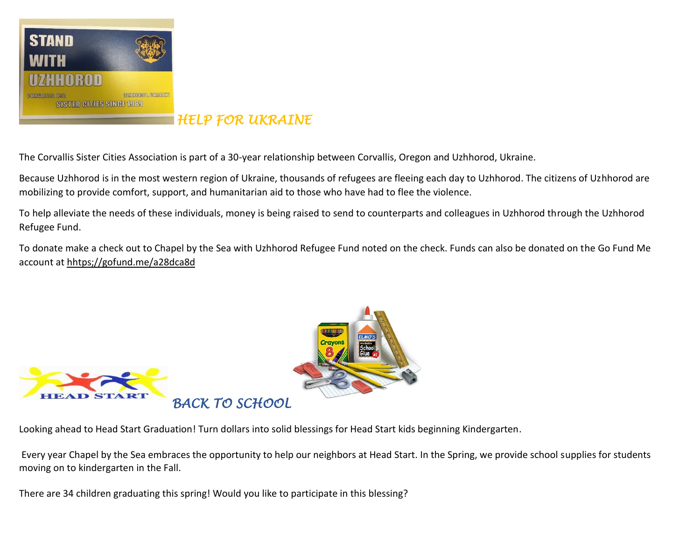

*HELP FOR UKRAINE* 

The Corvallis Sister Cities Association is part of a 30-year relationship between Corvallis, Oregon and Uzhhorod, Ukraine.

Because Uzhhorod is in the most western region of Ukraine, thousands of refugees are fleeing each day to Uzhhorod. The citizens of Uzhhorod are mobilizing to provide comfort, support, and humanitarian aid to those who have had to flee the violence.

To help alleviate the needs of these individuals, money is being raised to send to counterparts and colleagues in Uzhhorod through the Uzhhorod Refugee Fund.

To donate make a check out to Chapel by the Sea with Uzhhorod Refugee Fund noted on the check. Funds can also be donated on the Go Fund Me account at hhtps;//gofund.me/a28dca8d



Looking ahe[ad to](https://creativecommons.org/licenses/by/3.0/) Head Start Graduation! Turn dollars into solid blessings fo[r Head Star](https://creativecommons.org/licenses/by-nc-nd/3.0/)t kids beginning Kindergarten.

Every year Chapel by the Sea embraces the opportunity to help our neighbors at Head Start. In the Spring, we provide school supplies for students moving on to kindergarten in the Fall.

There are 34 children graduating this spring! Would you like to participate in this blessing?